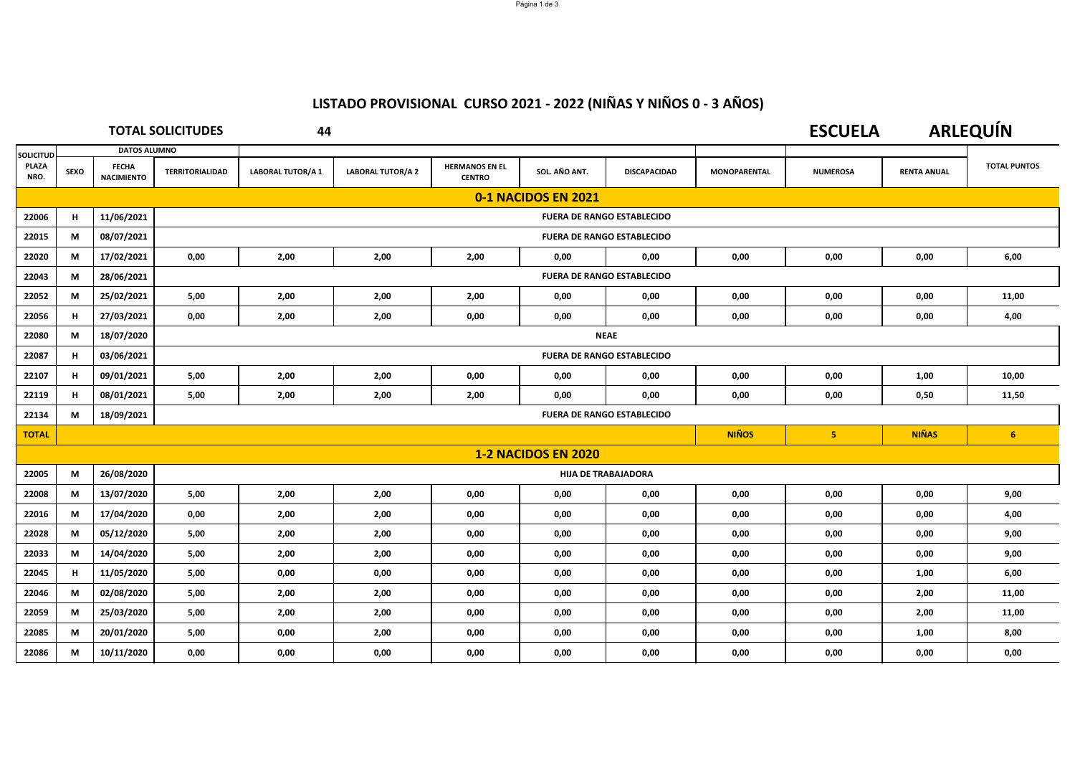# **LISTADO PROVISIONAL CURSO 2021 ‐ 2022 (NIÑAS Y NIÑOS 0 ‐ 3 AÑOS)**

|                  | <b>TOTAL SOLICITUDES</b>                            |                                   |                                   | 44                       |                          |                                        |                            |                     |                     | <b>ESCUELA</b>  |                    | <b>ARLEQUÍN</b>     |
|------------------|-----------------------------------------------------|-----------------------------------|-----------------------------------|--------------------------|--------------------------|----------------------------------------|----------------------------|---------------------|---------------------|-----------------|--------------------|---------------------|
| <b>SOLICITUD</b> |                                                     | <b>DATOS ALUMNO</b>               |                                   |                          |                          |                                        |                            |                     |                     |                 |                    |                     |
| PLAZA<br>NRO.    | <b>SEXO</b>                                         | <b>FECHA</b><br><b>NACIMIENTO</b> | <b>TERRITORIALIDAD</b>            | <b>LABORAL TUTOR/A 1</b> | <b>LABORAL TUTOR/A 2</b> | <b>HERMANOS EN EL</b><br><b>CENTRO</b> | SOL. AÑO ANT.              | <b>DISCAPACIDAD</b> | <b>MONOPARENTAL</b> | <b>NUMEROSA</b> | <b>RENTA ANUAL</b> | <b>TOTAL PUNTOS</b> |
|                  | 0-1 NACIDOS EN 2021                                 |                                   |                                   |                          |                          |                                        |                            |                     |                     |                 |                    |                     |
| 22006            | H                                                   | 11/06/2021                        | <b>FUERA DE RANGO ESTABLECIDO</b> |                          |                          |                                        |                            |                     |                     |                 |                    |                     |
| 22015            | М                                                   | 08/07/2021                        | <b>FUERA DE RANGO ESTABLECIDO</b> |                          |                          |                                        |                            |                     |                     |                 |                    |                     |
| 22020            | М                                                   | 17/02/2021                        | 0,00                              | 2,00                     | 2,00                     | 2,00                                   | 0.00                       | 0,00                | 0,00                | 0,00            | 0,00               | 6,00                |
| 22043            | М                                                   | 28/06/2021                        | <b>FUERA DE RANGO ESTABLECIDO</b> |                          |                          |                                        |                            |                     |                     |                 |                    |                     |
| 22052            | М                                                   | 25/02/2021                        | 5.00                              | 2,00                     | 2,00                     | 2,00                                   | 0,00                       | 0,00                | 0,00                | 0,00            | 0,00               | 11,00               |
| 22056            | H                                                   | 27/03/2021                        | 0,00                              | 2,00                     | 2,00                     | 0,00                                   | 0.00                       | 0,00                | 0,00                | 0,00            | 0,00               | 4,00                |
| 22080            | М                                                   | 18/07/2020                        | <b>NEAE</b>                       |                          |                          |                                        |                            |                     |                     |                 |                    |                     |
| 22087            | Н.                                                  | 03/06/2021                        | <b>FUERA DE RANGO ESTABLECIDO</b> |                          |                          |                                        |                            |                     |                     |                 |                    |                     |
| 22107            | H                                                   | 09/01/2021                        | 5,00                              | 2,00                     | 2,00                     | 0,00                                   | 0,00                       | 0,00                | 0,00                | 0,00            | 1,00               | 10,00               |
| 22119            | H                                                   | 08/01/2021                        | 5,00                              | 2,00                     | 2,00                     | 2,00                                   | 0,00                       | 0,00                | 0,00                | 0,00            | 0,50               | 11,50               |
| 22134            | М                                                   | 18/09/2021                        | <b>FUERA DE RANGO ESTABLECIDO</b> |                          |                          |                                        |                            |                     |                     |                 |                    |                     |
| <b>TOTAL</b>     | <b>NIÑAS</b><br><b>NIÑOS</b><br>5 <sub>1</sub><br>6 |                                   |                                   |                          |                          |                                        |                            |                     |                     |                 |                    |                     |
|                  |                                                     |                                   |                                   |                          |                          |                                        | <b>1-2 NACIDOS EN 2020</b> |                     |                     |                 |                    |                     |
| 22005            | M                                                   | 26/08/2020                        | <b>HIJA DE TRABAJADORA</b>        |                          |                          |                                        |                            |                     |                     |                 |                    |                     |
| 22008            | М                                                   | 13/07/2020                        | 5,00                              | 2,00                     | 2,00                     | 0,00                                   | 0,00                       | 0,00                | 0,00                | 0,00            | 0,00               | 9,00                |
| 22016            | M                                                   | 17/04/2020                        | 0,00                              | 2,00                     | 2,00                     | 0,00                                   | 0,00                       | 0,00                | 0,00                | 0,00            | 0,00               | 4,00                |
| 22028            | М                                                   | 05/12/2020                        | 5,00                              | 2,00                     | 2,00                     | 0,00                                   | 0,00                       | 0,00                | 0,00                | 0,00            | 0,00               | 9,00                |
| 22033            | M                                                   | 14/04/2020                        | 5,00                              | 2,00                     | 2,00                     | 0,00                                   | 0,00                       | 0,00                | 0,00                | 0,00            | 0,00               | 9,00                |
| 22045            | H                                                   | 11/05/2020                        | 5,00                              | 0,00                     | 0,00                     | 0,00                                   | 0,00                       | 0,00                | 0,00                | 0,00            | 1,00               | 6,00                |
| 22046            | М                                                   | 02/08/2020                        | 5,00                              | 2,00                     | 2,00                     | 0,00                                   | 0,00                       | 0,00                | 0,00                | 0,00            | 2,00               | 11,00               |
| 22059            | М                                                   | 25/03/2020                        | 5,00                              | 2,00                     | 2,00                     | 0,00                                   | 0,00                       | 0,00                | 0,00                | 0,00            | 2,00               | 11,00               |
| 22085            | М                                                   | 20/01/2020                        | 5,00                              | 0,00                     | 2,00                     | 0,00                                   | 0,00                       | 0,00                | 0,00                | 0,00            | 1,00               | 8,00                |
| 22086            | М                                                   | 10/11/2020                        | 0,00                              | 0,00                     | 0,00                     | 0,00                                   | 0,00                       | 0,00                | 0,00                | 0,00            | 0,00               | 0,00                |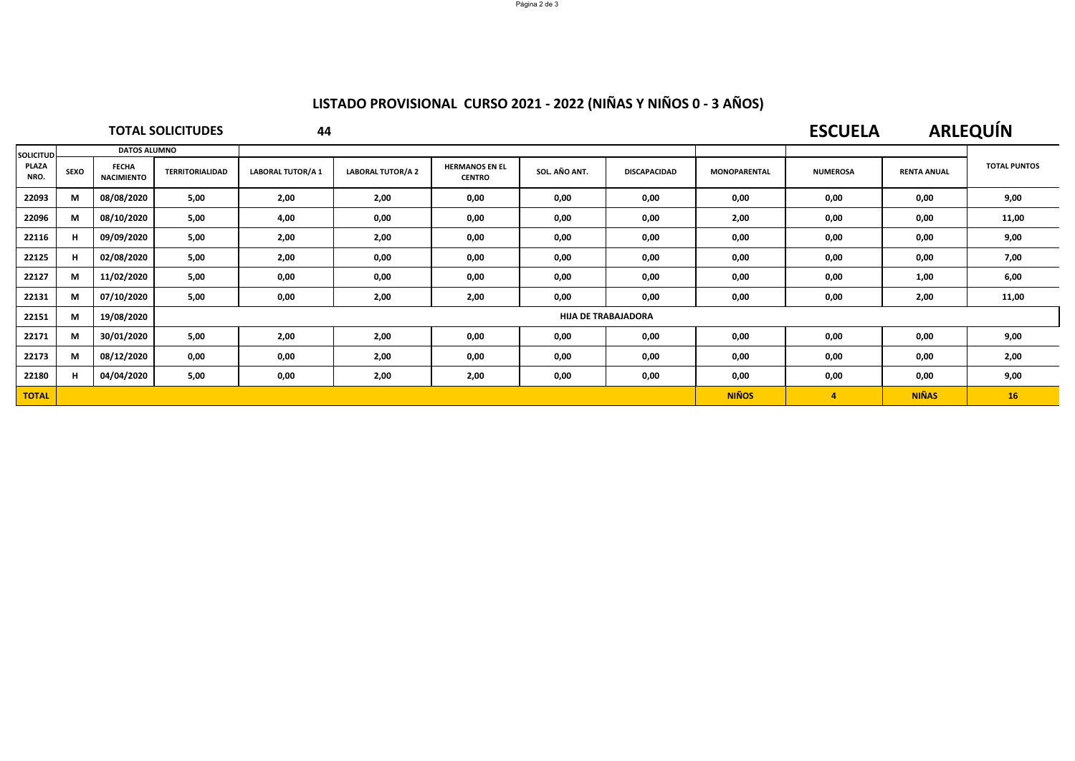# **LISTADO PROVISIONAL CURSO 2021 ‐ 2022 (NIÑAS Y NIÑOS 0 ‐ 3 AÑOS)**

### **TOTAL SOLICITUDES**

**44**

### **ESCUELAARLEQUÍN**

| <b>SOLICITUD</b><br>PLAZA<br>NRO. | <b>DATOS ALUMNO</b> |                                   |                        |                            |                          |                                        |               |                     |                     |                 |                    |                     |  |
|-----------------------------------|---------------------|-----------------------------------|------------------------|----------------------------|--------------------------|----------------------------------------|---------------|---------------------|---------------------|-----------------|--------------------|---------------------|--|
|                                   | <b>SEXO</b>         | <b>FECHA</b><br><b>NACIMIENTO</b> | <b>TERRITORIALIDAD</b> | <b>LABORAL TUTOR/A 1</b>   | <b>LABORAL TUTOR/A 2</b> | <b>HERMANOS EN EL</b><br><b>CENTRO</b> | SOL. AÑO ANT. | <b>DISCAPACIDAD</b> | <b>MONOPARENTAL</b> | <b>NUMEROSA</b> | <b>RENTA ANUAL</b> | <b>TOTAL PUNTOS</b> |  |
| 22093                             | M                   | 08/08/2020                        | 5,00                   | 2,00                       | 2,00                     | 0,00                                   | 0,00          | 0,00                | 0,00                | 0,00            | 0,00               | 9,00                |  |
| 22096                             | M                   | 08/10/2020                        | 5,00                   | 4,00                       | 0,00                     | 0,00                                   | 0,00          | 0,00                | 2,00                | 0,00            | 0,00               | 11,00               |  |
| 22116                             | H                   | 09/09/2020                        | 5,00                   | 2,00                       | 2,00                     | 0,00                                   | 0,00          | 0,00                | 0,00                | 0,00            | 0,00               | 9,00                |  |
| 22125                             | H                   | 02/08/2020                        | 5,00                   | 2,00                       | 0,00                     | 0,00                                   | 0,00          | 0,00                | 0,00                | 0,00            | 0,00               | 7,00                |  |
| 22127                             | M                   | 11/02/2020                        | 5,00                   | 0,00                       | 0,00                     | 0,00                                   | 0,00          | 0,00                | 0,00                | 0,00            | 1,00               | 6,00                |  |
| 22131                             | M                   | 07/10/2020                        | 5,00                   | 0,00                       | 2,00                     | 2,00                                   | 0,00          | 0,00                | 0,00                | 0,00            | 2,00               | 11,00               |  |
| 22151                             | M                   | 19/08/2020                        |                        | <b>HIJA DE TRABAJADORA</b> |                          |                                        |               |                     |                     |                 |                    |                     |  |
| 22171                             | M                   | 30/01/2020                        | 5,00                   | 2,00                       | 2,00                     | 0,00                                   | 0,00          | 0,00                | 0,00                | 0,00            | 0,00               | 9,00                |  |
| 22173                             | M                   | 08/12/2020                        | 0,00                   | 0,00                       | 2,00                     | 0,00                                   | 0,00          | 0,00                | 0,00                | 0,00            | 0,00               | 2,00                |  |
| 22180                             | H                   | 04/04/2020                        | 5,00                   | 0,00                       | 2,00                     | 2,00                                   | 0,00          | 0,00                | 0,00                | 0,00            | 0,00               | 9,00                |  |
| <b>TOTAL</b>                      |                     |                                   |                        |                            |                          |                                        |               |                     | <b>NIÑOS</b>        | $\overline{a}$  | <b>NIÑAS</b>       | 16                  |  |